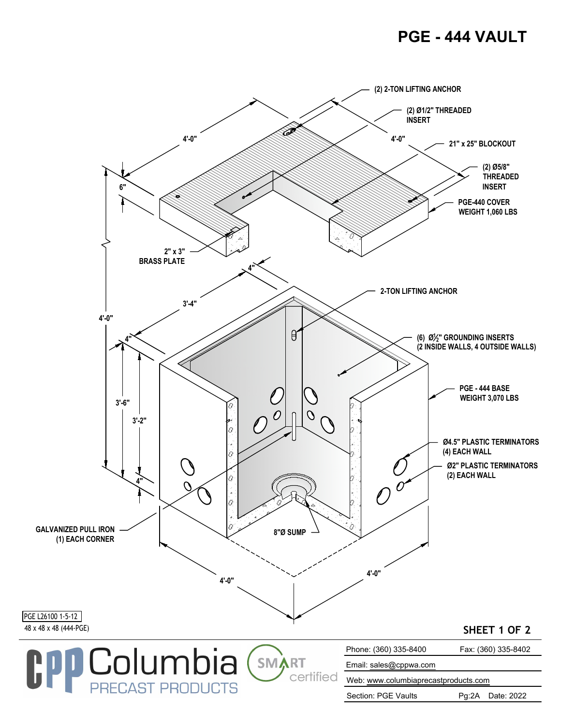## **PGE - 444 VAULT**